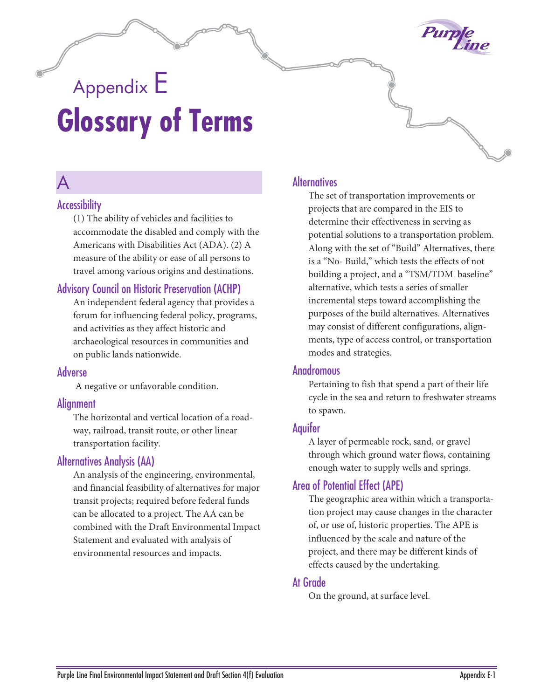

# Appendix E **Glossary of Terms**

# $\Delta$

#### **Accessibility**

(1) The ability of vehicles and facilities to accommodate the disabled and comply with the Americans with Disabilities Act (ADA). (2) A measure of the ability or ease of all persons to travel among various origins and destinations.

#### Advisory Council on Historic Preservation (ACHP)

An independent federal agency that provides a forum for influencing federal policy, programs, and activities as they affect historic and archaeological resources in communities and on public lands nationwide.

#### Adverse

A negative or unfavorable condition.

#### **Alianment**

The horizontal and vertical location of a roadway, railroad, transit route, or other linear transportation facility.

#### Alternatives Analysis (AA)

An analysis of the engineering, environmental, and financial feasibility of alternatives for major transit projects; required before federal funds can be allocated to a project. The AA can be combined with the Draft Environmental Impact Statement and evaluated with analysis of environmental resources and impacts.

#### **Alternatives**

The set of transportation improvements or projects that are compared in the EIS to determine their effectiveness in serving as potential solutions to a transportation problem. Along with the set of "Build" Alternatives, there is a "No- Build," which tests the effects of not building a project, and a "TSM/TDM baseline" alternative, which tests a series of smaller incremental steps toward accomplishing the purposes of the build alternatives. Alternatives may consist of different configurations, alignments, type of access control, or transportation modes and strategies.

#### Anadromous

Pertaining to fish that spend a part of their life cycle in the sea and return to freshwater streams to spawn.

#### Aquifer

A layer of permeable rock, sand, or gravel through which ground water flows, containing enough water to supply wells and springs.

#### Area of Potential Effect (APE)

The geographic area within which a transportation project may cause changes in the character of, or use of, historic properties. The APE is influenced by the scale and nature of the project, and there may be different kinds of effects caused by the undertaking.

#### At Grade

On the ground, at surface level.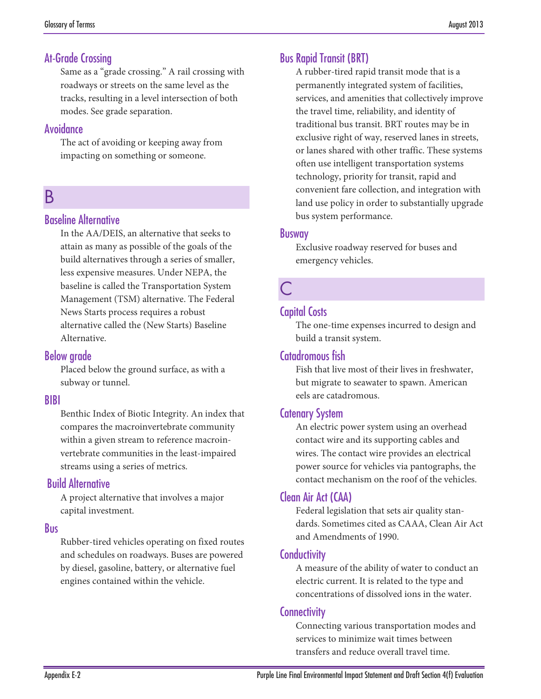#### At-Grade Crossing

Same as a "grade crossing." A rail crossing with roadways or streets on the same level as the tracks, resulting in a level intersection of both modes. See grade separation.

#### Avoidance

The act of avoiding or keeping away from impacting on something or someone.

# B

#### Baseline Alternative

In the AA/DEIS, an alternative that seeks to attain as many as possible of the goals of the build alternatives through a series of smaller, less expensive measures. Under NEPA, the baseline is called the Transportation System Management (TSM) alternative. The Federal News Starts process requires a robust alternative called the (New Starts) Baseline Alternative.

#### Below grade

Placed below the ground surface, as with a subway or tunnel.

#### BIBI

Benthic Index of Biotic Integrity. An index that compares the macroinvertebrate community within a given stream to reference macroinvertebrate communities in the least-impaired streams using a series of metrics.

#### Build Alternative

A project alternative that involves a major capital investment.

#### Bus

Rubber-tired vehicles operating on fixed routes and schedules on roadways. Buses are powered by diesel, gasoline, battery, or alternative fuel engines contained within the vehicle.

#### Bus Rapid Transit (BRT)

A rubber-tired rapid transit mode that is a permanently integrated system of facilities, services, and amenities that collectively improve the travel time, reliability, and identity of traditional bus transit. BRT routes may be in exclusive right of way, reserved lanes in streets, or lanes shared with other traffic. These systems often use intelligent transportation systems technology, priority for transit, rapid and convenient fare collection, and integration with land use policy in order to substantially upgrade bus system performance.

#### Busway

Exclusive roadway reserved for buses and emergency vehicles.

# C

#### Capital Costs

The one-time expenses incurred to design and build a transit system.

#### Catadromous fish

Fish that live most of their lives in freshwater, but migrate to seawater to spawn. American eels are catadromous.

#### Catenary System

An electric power system using an overhead contact wire and its supporting cables and wires. The contact wire provides an electrical power source for vehicles via pantographs, the contact mechanism on the roof of the vehicles.

#### Clean Air Act (CAA)

Federal legislation that sets air quality standards. Sometimes cited as CAAA, Clean Air Act and Amendments of 1990.

#### **Conductivity**

A measure of the ability of water to conduct an electric current. It is related to the type and concentrations of dissolved ions in the water.

#### **Connectivity**

Connecting various transportation modes and services to minimize wait times between transfers and reduce overall travel time.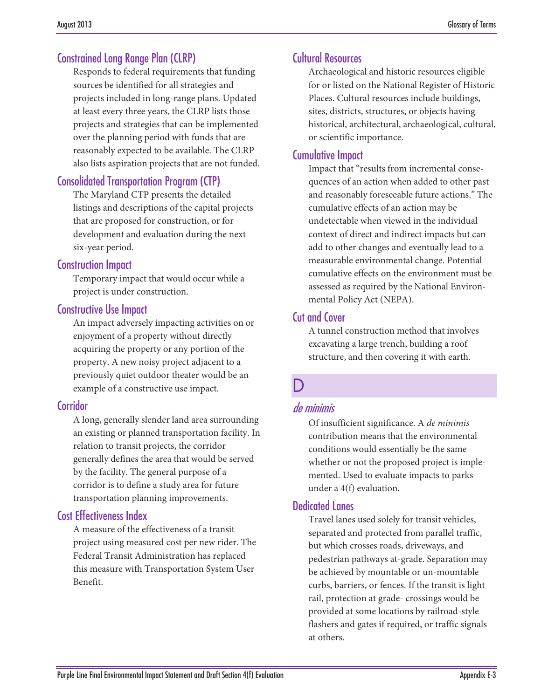# Constrained Long Range Plan (CLRP)

Responds to federal requirements that funding sources be identified for all strategies and projects included in long-range plans. Updated at least every three years, the CLRP lists those projects and strategies that can be implemented over the planning period with funds that are reasonably expected to be available. The CLRP also lists aspiration projects that are not funded.

# Consolidated Transportation Program (CTP)

The Maryland CTP presents the detailed listings and descriptions of the capital projects that are proposed for construction, or for development and evaluation during the next six-year period.

#### Construction Impact

Temporary impact that would occur while a project is under construction.

#### Constructive Use Impact

An impact adversely impacting activities on or enjoyment of a property without directly acquiring the property or any portion of the property. A new noisy project adjacent to a previously quiet outdoor theater would be an example of a constructive use impact.

#### **Corridor**

A long, generally slender land area surrounding an existing or planned transportation facility. In relation to transit projects, the corridor generally defines the area that would be served by the facility. The general purpose of a corridor is to define a study area for future transportation planning improvements.

# Cost Effectiveness Index

A measure of the effectiveness of a transit project using measured cost per new rider. The Federal Transit Administration has replaced this measure with Transportation System User Benefit.

### Cultural Resources

Archaeological and historic resources eligible for or listed on the National Register of Historic Places. Cultural resources include buildings, sites, districts, structures, or objects having historical, architectural, archaeological, cultural, or scientific importance.

### Cumulative Impact

Impact that "results from incremental consequences of an action when added to other past and reasonably foreseeable future actions." The cumulative effects of an action may be undetectable when viewed in the individual context of direct and indirect impacts but can add to other changes and eventually lead to a measurable environmental change. Potential cumulative effects on the environment must be assessed as required by the National Environmental Policy Act (NEPA).

### Cut and Cover

A tunnel construction method that involves excavating a large trench, building a roof structure, and then covering it with earth.

# D

# de minimis

Of insufficient significance. A *de minimis* contribution means that the environmental conditions would essentially be the same whether or not the proposed project is implemented. Used to evaluate impacts to parks under a 4(f) evaluation.

#### Dedicated Lanes

Travel lanes used solely for transit vehicles, separated and protected from parallel traffic, but which crosses roads, driveways, and pedestrian pathways at-grade. Separation may be achieved by mountable or un-mountable curbs, barriers, or fences. If the transit is light rail, protection at grade- crossings would be provided at some locations by railroad-style flashers and gates if required, or traffic signals at others.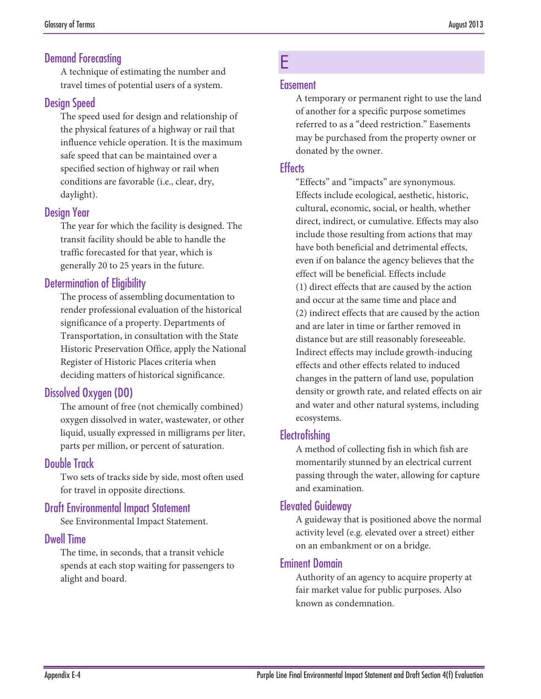#### Demand Forecasting

A technique of estimating the number and travel times of potential users of a system.

### Desian Speed

The speed used for design and relationship of the physical features of a highway or rail that influence vehicle operation. It is the maximum safe speed that can be maintained over a specified section of highway or rail when conditions are favorable (i.e., clear, dry, daylight).

#### Design Year

The year for which the facility is designed. The transit facility should be able to handle the traffic forecasted for that year, which is generally 20 to 25 years in the future.

# Determination of Eligibility

The process of assembling documentation to render professional evaluation of the historical significance of a property. Departments of Transportation, in consultation with the State Historic Preservation Office, apply the National Register of Historic Places criteria when deciding matters of historical significance.

# Dissolved Oxygen (DO)

The amount of free (not chemically combined) oxygen dissolved in water, wastewater, or other liquid, usually expressed in milligrams per liter, parts per million, or percent of saturation.

#### Double Track

Two sets of tracks side by side, most often used for travel in opposite directions.

#### Draft Environmental Impact Statement

See Environmental Impact Statement.

#### Dwell Time

The time, in seconds, that a transit vehicle spends at each stop waiting for passengers to alight and board.

# E

#### **Easement**

A temporary or permanent right to use the land of another for a specific purpose sometimes referred to as a "deed restriction." Easements may be purchased from the property owner or donated by the owner.

### **Effects**

"Effects" and "impacts" are synonymous. Effects include ecological, aesthetic, historic, cultural, economic, social, or health, whether direct, indirect, or cumulative. Effects may also include those resulting from actions that may have both beneficial and detrimental effects, even if on balance the agency believes that the effect will be beneficial. Effects include (1) direct effects that are caused by the action and occur at the same time and place and (2) indirect effects that are caused by the action and are later in time or farther removed in distance but are still reasonably foreseeable. Indirect effects may include growth-inducing effects and other effects related to induced changes in the pattern of land use, population density or growth rate, and related effects on air and water and other natural systems, including ecosystems.

#### Electrofishing

A method of collecting fish in which fish are momentarily stunned by an electrical current passing through the water, allowing for capture and examination.

#### Elevated Guideway

A guideway that is positioned above the normal activity level (e.g. elevated over a street) either on an embankment or on a bridge.

#### Eminent Domain

Authority of an agency to acquire property at fair market value for public purposes. Also known as condemnation.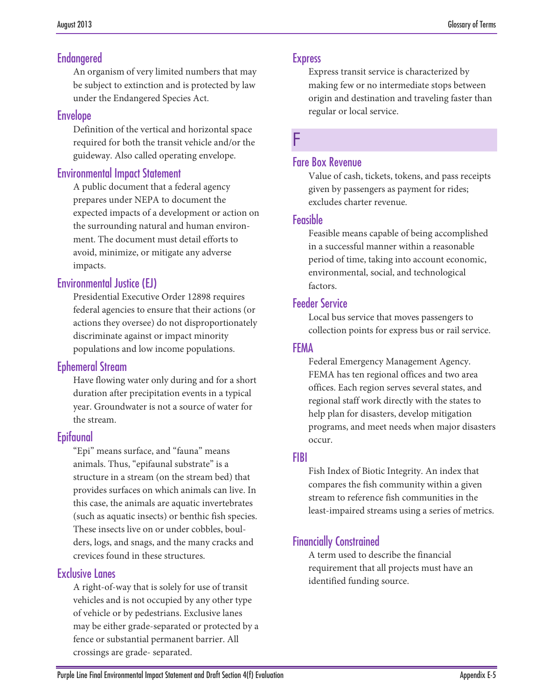# Endangered

An organism of very limited numbers that may be subject to extinction and is protected by law under the Endangered Species Act.

#### Envelope

Definition of the vertical and horizontal space required for both the transit vehicle and/or the guideway. Also called operating envelope.

#### Environmental Impact Statement

A public document that a federal agency prepares under NEPA to document the expected impacts of a development or action on the surrounding natural and human environment. The document must detail efforts to avoid, minimize, or mitigate any adverse impacts.

# Environmental Justice (EJ)

Presidential Executive Order 12898 requires federal agencies to ensure that their actions (or actions they oversee) do not disproportionately discriminate against or impact minority populations and low income populations.

# Ephemeral Stream

Have flowing water only during and for a short duration after precipitation events in a typical year. Groundwater is not a source of water for the stream.

# Epifaunal

"Epi" means surface, and "fauna" means animals. Thus, "epifaunal substrate" is a structure in a stream (on the stream bed) that provides surfaces on which animals can live. In this case, the animals are aquatic invertebrates (such as aquatic insects) or benthic fish species. These insects live on or under cobbles, boulders, logs, and snags, and the many cracks and crevices found in these structures.

# Exclusive Lanes

A right-of-way that is solely for use of transit vehicles and is not occupied by any other type of vehicle or by pedestrians. Exclusive lanes may be either grade-separated or protected by a fence or substantial permanent barrier. All crossings are grade- separated.

#### Express

Express transit service is characterized by making few or no intermediate stops between origin and destination and traveling faster than regular or local service.

F

#### Fare Box Revenue

Value of cash, tickets, tokens, and pass receipts given by passengers as payment for rides; excludes charter revenue.

#### **Feasible**

Feasible means capable of being accomplished in a successful manner within a reasonable period of time, taking into account economic, environmental, social, and technological factors.

### Feeder Service

Local bus service that moves passengers to collection points for express bus or rail service.

#### FEMA

Federal Emergency Management Agency. FEMA has ten regional offices and two area offices. Each region serves several states, and regional staff work directly with the states to help plan for disasters, develop mitigation programs, and meet needs when major disasters occur.

# FIBI

Fish Index of Biotic Integrity. An index that compares the fish community within a given stream to reference fish communities in the least-impaired streams using a series of metrics.

# Financially Constrained

A term used to describe the financial requirement that all projects must have an identified funding source.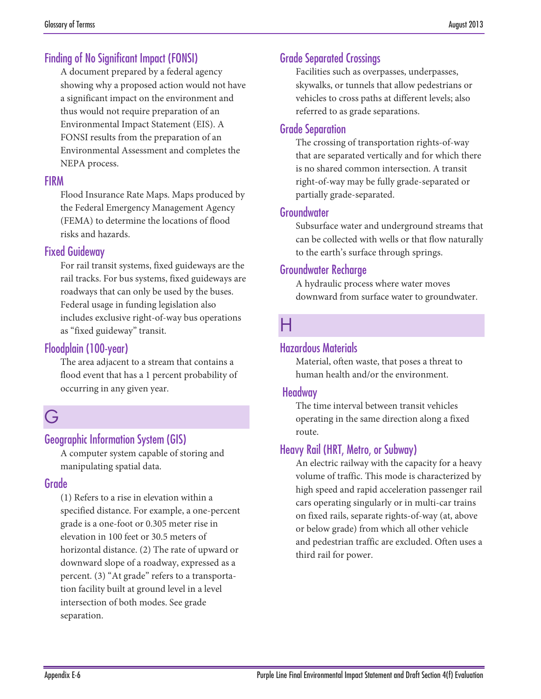# Finding of No Significant Impact (FONSI)

A document prepared by a federal agency showing why a proposed action would not have a significant impact on the environment and thus would not require preparation of an Environmental Impact Statement (EIS). A FONSI results from the preparation of an Environmental Assessment and completes the NEPA process.

#### FIRM

Flood Insurance Rate Maps. Maps produced by the Federal Emergency Management Agency (FEMA) to determine the locations of flood risks and hazards.

#### Fixed Guideway

For rail transit systems, fixed guideways are the rail tracks. For bus systems, fixed guideways are roadways that can only be used by the buses. Federal usage in funding legislation also includes exclusive right-of-way bus operations as "fixed guideway" transit.

### Floodplain (100-year)

The area adjacent to a stream that contains a flood event that has a 1 percent probability of occurring in any given year.

# G

# Geographic Information System (GIS)

A computer system capable of storing and manipulating spatial data.

#### Grade

(1) Refers to a rise in elevation within a specified distance. For example, a one-percent grade is a one-foot or 0.305 meter rise in elevation in 100 feet or 30.5 meters of horizontal distance. (2) The rate of upward or downward slope of a roadway, expressed as a percent. (3) "At grade" refers to a transportation facility built at ground level in a level intersection of both modes. See grade separation.

# Grade Separated Crossings

Facilities such as overpasses, underpasses, skywalks, or tunnels that allow pedestrians or vehicles to cross paths at different levels; also referred to as grade separations.

#### Grade Separation

The crossing of transportation rights-of-way that are separated vertically and for which there is no shared common intersection. A transit right-of-way may be fully grade-separated or partially grade-separated.

#### Groundwater

Subsurface water and underground streams that can be collected with wells or that flow naturally to the earth's surface through springs.

#### Groundwater Recharge

A hydraulic process where water moves downward from surface water to groundwater.

# $\mathsf H$

#### Hazardous Materials

Material, often waste, that poses a threat to human health and/or the environment.

#### Headway

The time interval between transit vehicles operating in the same direction along a fixed route.

# Heavy Rail (HRT, Metro, or Subway)

An electric railway with the capacity for a heavy volume of traffic. This mode is characterized by high speed and rapid acceleration passenger rail cars operating singularly or in multi-car trains on fixed rails, separate rights-of-way (at, above or below grade) from which all other vehicle and pedestrian traffic are excluded. Often uses a third rail for power.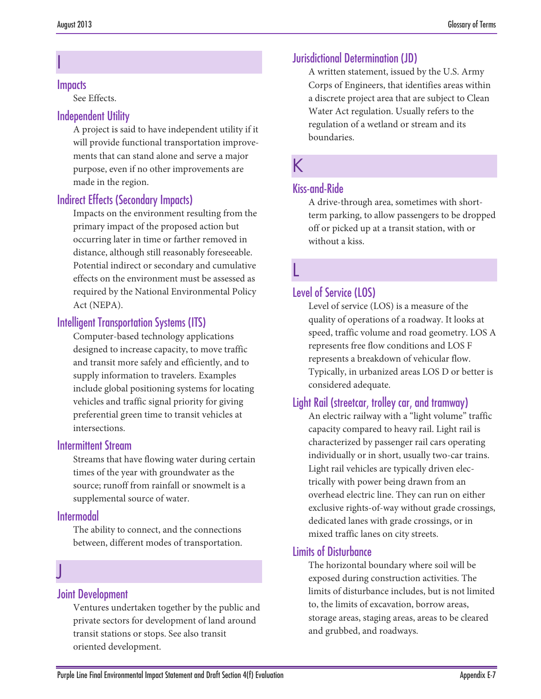#### **Impacts**

I

See Effects.

#### Independent Utility

A project is said to have independent utility if it will provide functional transportation improvements that can stand alone and serve a major purpose, even if no other improvements are made in the region.

# Indirect Effects (Secondary Impacts)

Impacts on the environment resulting from the primary impact of the proposed action but occurring later in time or farther removed in distance, although still reasonably foreseeable. Potential indirect or secondary and cumulative effects on the environment must be assessed as required by the National Environmental Policy Act (NEPA).

# Intelligent Transportation Systems (ITS)

Computer-based technology applications designed to increase capacity, to move traffic and transit more safely and efficiently, and to supply information to travelers. Examples include global positioning systems for locating vehicles and traffic signal priority for giving preferential green time to transit vehicles at intersections.

#### Intermittent Stream

Streams that have flowing water during certain times of the year with groundwater as the source; runoff from rainfall or snowmelt is a supplemental source of water.

# Intermodal

The ability to connect, and the connections between, different modes of transportation.

# J

#### Joint Development

Ventures undertaken together by the public and private sectors for development of land around transit stations or stops. See also transit oriented development.

# Jurisdictional Determination (JD)

A written statement, issued by the U.S. Army Corps of Engineers, that identifies areas within a discrete project area that are subject to Clean Water Act regulation. Usually refers to the regulation of a wetland or stream and its boundaries.

# K

#### Kiss-and-Ride

A drive-through area, sometimes with shortterm parking, to allow passengers to be dropped off or picked up at a transit station, with or without a kiss.

# L

### Level of Service (LOS)

Level of service (LOS) is a measure of the quality of operations of a roadway. It looks at speed, traffic volume and road geometry. LOS A represents free flow conditions and LOS F represents a breakdown of vehicular flow. Typically, in urbanized areas LOS D or better is considered adequate.

#### Light Rail (streetcar, trolley car, and tramway)

An electric railway with a "light volume" traffic capacity compared to heavy rail. Light rail is characterized by passenger rail cars operating individually or in short, usually two-car trains. Light rail vehicles are typically driven electrically with power being drawn from an overhead electric line. They can run on either exclusive rights-of-way without grade crossings, dedicated lanes with grade crossings, or in mixed traffic lanes on city streets.

#### Limits of Disturbance

The horizontal boundary where soil will be exposed during construction activities. The limits of disturbance includes, but is not limited to, the limits of excavation, borrow areas, storage areas, staging areas, areas to be cleared and grubbed, and roadways.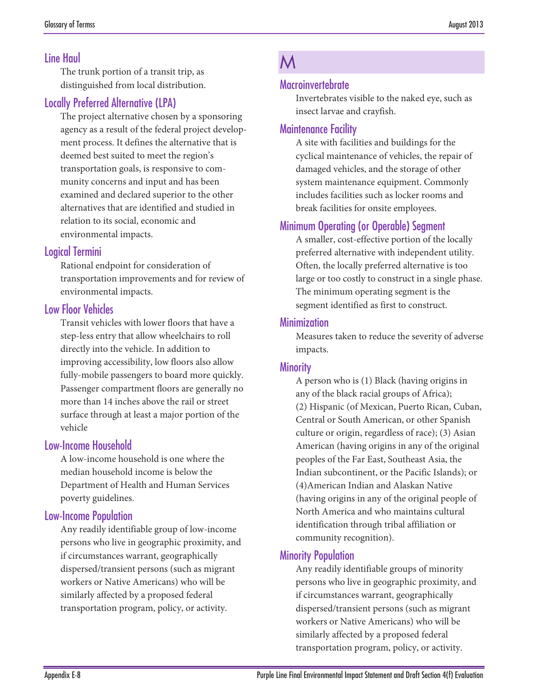# Line Haul

The trunk portion of a transit trip, as distinguished from local distribution.

# Locally Preferred Alternative (LPA)

The project alternative chosen by a sponsoring agency as a result of the federal project development process. It defines the alternative that is deemed best suited to meet the region's transportation goals, is responsive to community concerns and input and has been examined and declared superior to the other alternatives that are identified and studied in relation to its social, economic and environmental impacts.

#### Logical Termini

Rational endpoint for consideration of transportation improvements and for review of environmental impacts.

#### Low Floor Vehicles

Transit vehicles with lower floors that have a step-less entry that allow wheelchairs to roll directly into the vehicle. In addition to improving accessibility, low floors also allow fully-mobile passengers to board more quickly. Passenger compartment floors are generally no more than 14 inches above the rail or street surface through at least a major portion of the vehicle

#### Low-Income Household

A low-income household is one where the median household income is below the Department of Health and Human Services poverty guidelines.

#### Low-Income Population

Any readily identifiable group of low-income persons who live in geographic proximity, and if circumstances warrant, geographically dispersed/transient persons (such as migrant workers or Native Americans) who will be similarly affected by a proposed federal transportation program, policy, or activity.

# M

#### **Macroinvertebrate**

Invertebrates visible to the naked eye, such as insect larvae and crayfish.

#### Maintenance Facility

A site with facilities and buildings for the cyclical maintenance of vehicles, the repair of damaged vehicles, and the storage of other system maintenance equipment. Commonly includes facilities such as locker rooms and break facilities for onsite employees.

### Minimum Operating (or Operable) Segment

A smaller, cost-effective portion of the locally preferred alternative with independent utility. Often, the locally preferred alternative is too large or too costly to construct in a single phase. The minimum operating segment is the segment identified as first to construct.

#### **Minimization**

Measures taken to reduce the severity of adverse impacts.

#### **Minority**

A person who is (1) Black (having origins in any of the black racial groups of Africa); (2) Hispanic (of Mexican, Puerto Rican, Cuban, Central or South American, or other Spanish culture or origin, regardless of race); (3) Asian American (having origins in any of the original peoples of the Far East, Southeast Asia, the Indian subcontinent, or the Pacific Islands); or (4)American Indian and Alaskan Native (having origins in any of the original people of North America and who maintains cultural identification through tribal affiliation or community recognition).

#### Minority Population

Any readily identifiable groups of minority persons who live in geographic proximity, and if circumstances warrant, geographically dispersed/transient persons (such as migrant workers or Native Americans) who will be similarly affected by a proposed federal transportation program, policy, or activity.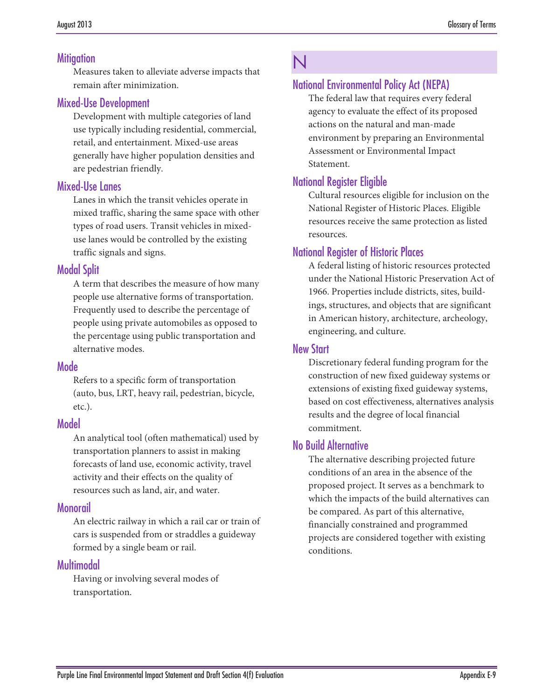#### **Mitigation**

Measures taken to alleviate adverse impacts that remain after minimization.

#### Mixed-Use Development

Development with multiple categories of land use typically including residential, commercial, retail, and entertainment. Mixed-use areas generally have higher population densities and are pedestrian friendly.

#### Mixed-Use Lanes

Lanes in which the transit vehicles operate in mixed traffic, sharing the same space with other types of road users. Transit vehicles in mixeduse lanes would be controlled by the existing traffic signals and signs.

#### Modal Split

A term that describes the measure of how many people use alternative forms of transportation. Frequently used to describe the percentage of people using private automobiles as opposed to the percentage using public transportation and alternative modes.

#### Mode

Refers to a specific form of transportation (auto, bus, LRT, heavy rail, pedestrian, bicycle, etc.).

#### Model

An analytical tool (often mathematical) used by transportation planners to assist in making forecasts of land use, economic activity, travel activity and their effects on the quality of resources such as land, air, and water.

#### Monorail

An electric railway in which a rail car or train of cars is suspended from or straddles a guideway formed by a single beam or rail.

#### Multimodal

Having or involving several modes of transportation.

# N

# National Environmental Policy Act (NEPA)

The federal law that requires every federal agency to evaluate the effect of its proposed actions on the natural and man-made environment by preparing an Environmental Assessment or Environmental Impact Statement.

# National Register Eligible

Cultural resources eligible for inclusion on the National Register of Historic Places. Eligible resources receive the same protection as listed resources.

# National Register of Historic Places

A federal listing of historic resources protected under the National Historic Preservation Act of 1966. Properties include districts, sites, buildings, structures, and objects that are significant in American history, architecture, archeology, engineering, and culture.

#### New Start

Discretionary federal funding program for the construction of new fixed guideway systems or extensions of existing fixed guideway systems, based on cost effectiveness, alternatives analysis results and the degree of local financial commitment.

#### No Build Alternative

The alternative describing projected future conditions of an area in the absence of the proposed project. It serves as a benchmark to which the impacts of the build alternatives can be compared. As part of this alternative, financially constrained and programmed projects are considered together with existing conditions.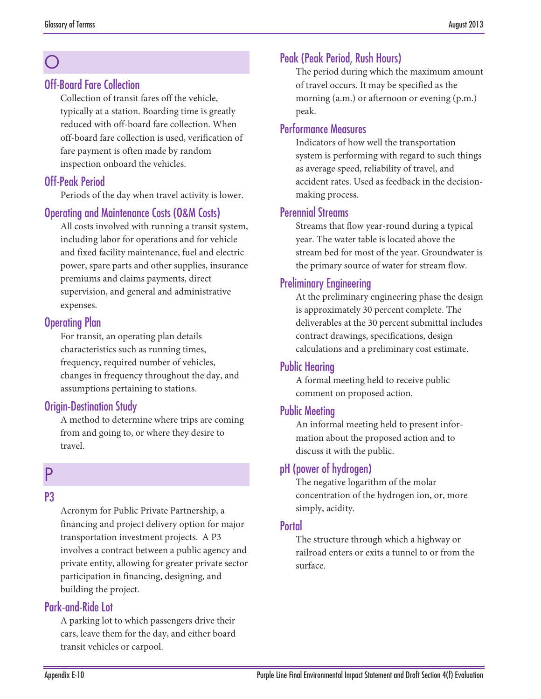# O

#### Off-Board Fare Collection

Collection of transit fares off the vehicle, typically at a station. Boarding time is greatly reduced with off-board fare collection. When off-board fare collection is used, verification of fare payment is often made by random inspection onboard the vehicles.

# Off-Peak Period

Periods of the day when travel activity is lower.

### Operating and Maintenance Costs (O&M Costs)

All costs involved with running a transit system, including labor for operations and for vehicle and fixed facility maintenance, fuel and electric power, spare parts and other supplies, insurance premiums and claims payments, direct supervision, and general and administrative expenses.

### Operating Plan

For transit, an operating plan details characteristics such as running times, frequency, required number of vehicles, changes in frequency throughout the day, and assumptions pertaining to stations.

# Origin-Destination Study

A method to determine where trips are coming from and going to, or where they desire to travel.

# P

#### P3

Acronym for Public Private Partnership, a financing and project delivery option for major transportation investment projects. A P3 involves a contract between a public agency and private entity, allowing for greater private sector participation in financing, designing, and building the project.

# Park-and-Ride Lot

A parking lot to which passengers drive their cars, leave them for the day, and either board transit vehicles or carpool.

# Peak (Peak Period, Rush Hours)

The period during which the maximum amount of travel occurs. It may be specified as the morning (a.m.) or afternoon or evening (p.m.) peak.

### Performance Measures

Indicators of how well the transportation system is performing with regard to such things as average speed, reliability of travel, and accident rates. Used as feedback in the decisionmaking process.

#### Perennial Streams

Streams that flow year-round during a typical year. The water table is located above the stream bed for most of the year. Groundwater is the primary source of water for stream flow.

# Preliminary Engineering

At the preliminary engineering phase the design is approximately 30 percent complete. The deliverables at the 30 percent submittal includes contract drawings, specifications, design calculations and a preliminary cost estimate.

#### Public Hearing

A formal meeting held to receive public comment on proposed action.

#### Public Meeting

An informal meeting held to present information about the proposed action and to discuss it with the public.

#### pH (power of hydrogen)

The negative logarithm of the molar concentration of the hydrogen ion, or, more simply, acidity.

#### **Portal**

The structure through which a highway or railroad enters or exits a tunnel to or from the surface.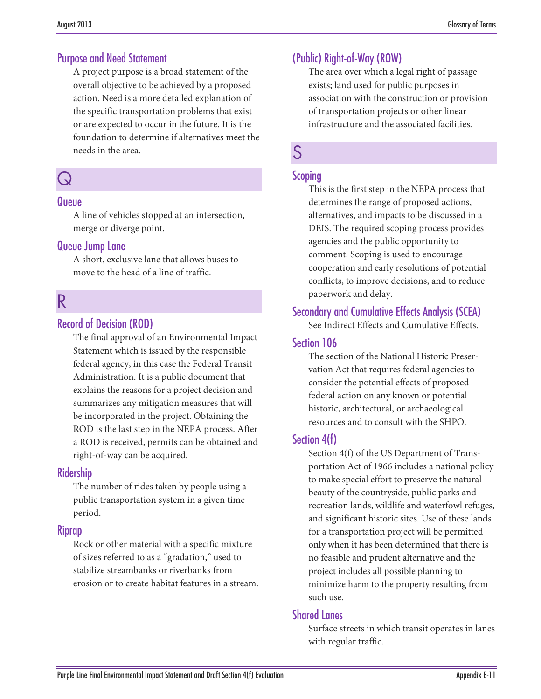#### Purpose and Need Statement

A project purpose is a broad statement of the overall objective to be achieved by a proposed action. Need is a more detailed explanation of the specific transportation problems that exist or are expected to occur in the future. It is the foundation to determine if alternatives meet the needs in the area.

# Q

#### Queue

A line of vehicles stopped at an intersection, merge or diverge point.

#### Queue Jump Lane

A short, exclusive lane that allows buses to move to the head of a line of traffic.

# R

### Record of Decision (ROD)

The final approval of an Environmental Impact Statement which is issued by the responsible federal agency, in this case the Federal Transit Administration. It is a public document that explains the reasons for a project decision and summarizes any mitigation measures that will be incorporated in the project. Obtaining the ROD is the last step in the NEPA process. After a ROD is received, permits can be obtained and right-of-way can be acquired.

#### **Ridership**

The number of rides taken by people using a public transportation system in a given time period.

#### Riprap

Rock or other material with a specific mixture of sizes referred to as a "gradation," used to stabilize streambanks or riverbanks from erosion or to create habitat features in a stream.

# (Public) Right-of-Way (ROW)

The area over which a legal right of passage exists; land used for public purposes in association with the construction or provision of transportation projects or other linear infrastructure and the associated facilities.

# S

#### Scoping

This is the first step in the NEPA process that determines the range of proposed actions, alternatives, and impacts to be discussed in a DEIS. The required scoping process provides agencies and the public opportunity to comment. Scoping is used to encourage cooperation and early resolutions of potential conflicts, to improve decisions, and to reduce paperwork and delay.

#### Secondary and Cumulative Effects Analysis (SCEA)

See Indirect Effects and Cumulative Effects.

#### Section 106

The section of the National Historic Preservation Act that requires federal agencies to consider the potential effects of proposed federal action on any known or potential historic, architectural, or archaeological resources and to consult with the SHPO.

#### Section 4(f)

Section 4(f) of the US Department of Transportation Act of 1966 includes a national policy to make special effort to preserve the natural beauty of the countryside, public parks and recreation lands, wildlife and waterfowl refuges, and significant historic sites. Use of these lands for a transportation project will be permitted only when it has been determined that there is no feasible and prudent alternative and the project includes all possible planning to minimize harm to the property resulting from such use.

#### Shared Lanes

Surface streets in which transit operates in lanes with regular traffic.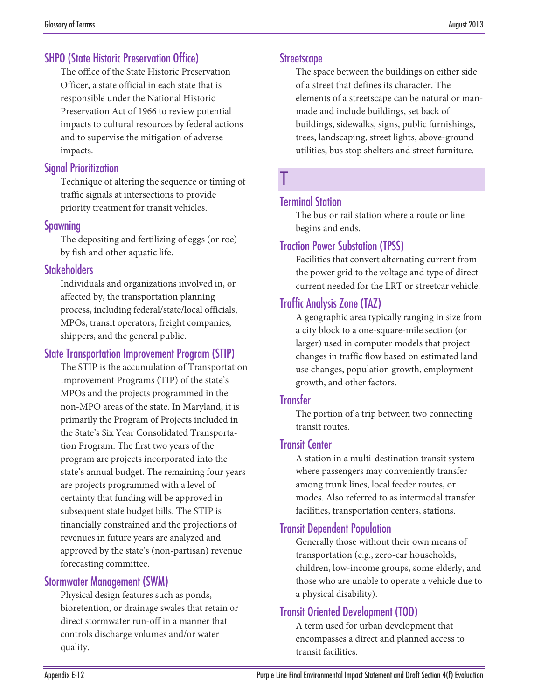### SHPO (State Historic Preservation Office)

The office of the State Historic Preservation Officer, a state official in each state that is responsible under the National Historic Preservation Act of 1966 to review potential impacts to cultural resources by federal actions and to supervise the mitigation of adverse impacts.

#### Signal Prioritization

Technique of altering the sequence or timing of traffic signals at intersections to provide priority treatment for transit vehicles.

#### Spawning

The depositing and fertilizing of eggs (or roe) by fish and other aquatic life.

#### **Stakeholders**

Individuals and organizations involved in, or affected by, the transportation planning process, including federal/state/local officials, MPOs, transit operators, freight companies, shippers, and the general public.

#### State Transportation Improvement Program (STIP)

The STIP is the accumulation of Transportation Improvement Programs (TIP) of the state's MPOs and the projects programmed in the non-MPO areas of the state. In Maryland, it is primarily the Program of Projects included in the State's Six Year Consolidated Transportation Program. The first two years of the program are projects incorporated into the state's annual budget. The remaining four years are projects programmed with a level of certainty that funding will be approved in subsequent state budget bills. The STIP is financially constrained and the projections of revenues in future years are analyzed and approved by the state's (non-partisan) revenue forecasting committee.

#### Stormwater Management (SWM)

Physical design features such as ponds, bioretention, or drainage swales that retain or direct stormwater run-off in a manner that controls discharge volumes and/or water quality.

#### **Streetscape**

The space between the buildings on either side of a street that defines its character. The elements of a streetscape can be natural or manmade and include buildings, set back of buildings, sidewalks, signs, public furnishings, trees, landscaping, street lights, above-ground utilities, bus stop shelters and street furniture.

# T

#### Terminal Station

The bus or rail station where a route or line begins and ends.

#### Traction Power Substation (TPSS)

Facilities that convert alternating current from the power grid to the voltage and type of direct current needed for the LRT or streetcar vehicle.

### Traffic Analysis Zone (TAZ)

A geographic area typically ranging in size from a city block to a one-square-mile section (or larger) used in computer models that project changes in traffic flow based on estimated land use changes, population growth, employment growth, and other factors.

#### **Transfer**

The portion of a trip between two connecting transit routes.

#### Transit Center

A station in a multi-destination transit system where passengers may conveniently transfer among trunk lines, local feeder routes, or modes. Also referred to as intermodal transfer facilities, transportation centers, stations.

#### Transit Dependent Population

Generally those without their own means of transportation (e.g., zero-car households, children, low-income groups, some elderly, and those who are unable to operate a vehicle due to a physical disability).

# Transit Oriented Development (TOD)

A term used for urban development that encompasses a direct and planned access to transit facilities.